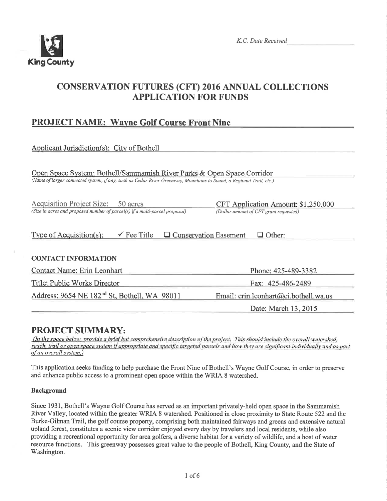

K.C. Date Received

## **CONSERVATION FUTURES (CFT) 2016 ANNUAL COLLECTIONS APPLICATION FOR FUNDS**

## **PROJECT NAME: Wayne Golf Course Front Nine**

| Applicant Jurisdiction(s): City of Bothell                                                                                                                                                    |                                                                               |  |  |  |  |
|-----------------------------------------------------------------------------------------------------------------------------------------------------------------------------------------------|-------------------------------------------------------------------------------|--|--|--|--|
| Open Space System: Bothell/Sammamish River Parks & Open Space Corridor<br>(Name of larger connected system, if any, such as Cedar River Greenway, Mountains to Sound, a Regional Trail, etc.) |                                                                               |  |  |  |  |
| <b>Acquisition Project Size:</b><br>50 acres<br>(Size in acres and proposed number of parcel(s) if a multi-parcel proposal)                                                                   | CFT Application Amount: \$1,250,000<br>(Dollar amount of CFT grant requested) |  |  |  |  |
| $\checkmark$ Fee Title<br>Type of Acquisition $(s)$ :<br>$\Box$ Conservation Easement                                                                                                         | $\Box$ Other:                                                                 |  |  |  |  |
| <b>CONTACT INFORMATION</b>                                                                                                                                                                    |                                                                               |  |  |  |  |
| Contact Name: Erin Leonhart                                                                                                                                                                   | Phone: 425-489-3382                                                           |  |  |  |  |
| Title: Public Works Director<br>Fax: 425-486-2489                                                                                                                                             |                                                                               |  |  |  |  |
| Address: 9654 NE 182 <sup>nd</sup> St, Bothell, WA 98011                                                                                                                                      | Email: erin.leonhart@ci.bothell.wa.us                                         |  |  |  |  |
|                                                                                                                                                                                               | Date: March 13, 2015                                                          |  |  |  |  |

## **PROJECT SUMMARY:**

(In the space below, provide a brief but comprehensive description of the project. This should include the overall watershed, reach, trail or open space system if appropriate and specific targeted parcels and how they are significant individually and as part of an overall system.)

This application seeks funding to help purchase the Front Nine of Bothell's Wayne Golf Course, in order to preserve and enhance public access to a prominent open space within the WRIA 8 watershed.

## **Background**

Since 1931, Bothell's Wayne Golf Course has served as an important privately-held open space in the Sammamish River Valley, located within the greater WRIA 8 watershed. Positioned in close proximity to State Route 522 and the Burke-Gilman Trail, the golf course property, comprising both maintained fairways and greens and extensive natural upland forest, constitutes a scenic view corridor enjoyed every day by travelers and local residents, while also providing a recreational opportunity for area golfers, a diverse habitat for a variety of wildlife, and a host of water resource functions. This greenway possesses great value to the people of Bothell, King County, and the State of Washington.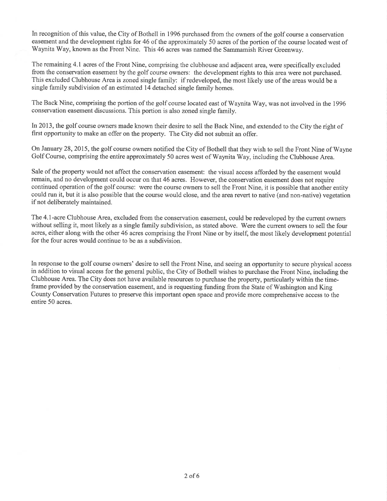In recognition of this value, the City of Bothell in 1996 purchased from the owners of the golf course a conservation easement and the development rights for 46 of the approximately 50 acres of the portion of the course located west of Waynita Way, known as the Front Nine. This 46 acres was named the Sammamish River Greenway.

The remaining 4.1 acres of the Front Nine, comprising the clubhouse and adjacent area, were specifically excluded from the conservation easement by the golf course owners: the development rights to this area were not purchased. This excluded Clubhouse Area is zoned single family: if redeveloped, the most likely use of the areas would be <sup>a</sup> single farnily subdivision of an estimated 14 detached single family homes.

The Back Nine, comprising the portion of the golf course located east of Waynita Way, was not involved in the 1996 conservation easement discussions. This portion is also zoned single family.

In2013, the golf course owners made known their desire to sell the Back Nine, and extended to the City the right of first opportunity to make an offer on the property. The City did not submit an offer.

On January 28,2015, the golf course owners notified the City of Bothell that they wish to sell the Front Nine of Wayne Golf Course, comprising the entire approximately 50 acres west of Waynita Way, including the Clubhouse Area.

Sale of the property would not affect the conservation easement: the visual access afforded by the easement would remain, and no development could occur on that 46 acres. However, the conservation easement does not require continued operation of the golf course: were the course owners to sell the Front Nine, it is possible that another entity could run it, but it is also possible that the course would close, and the area revert to native (and non-native) vegetation if not deliberately maintained.

The 4.l-acre Clubhouse Area, excluded from the conservation easement, could be redeveloped by the current owners without selling it, most likely as a single family subdivision, as stated above. Were the current owners to sell the four acres, either along with the other 46 acres comprising the Front Nine or by itself, the most likely development potential for the four acres would continue to be as a subdivision.

In response to the golf course owners' desire to sell the Front Nine, and seeing an opporfunity to secure physical access in addition to visual access for the general public, the City of Bothell wishes to purchase the Front Nine, including the Clubhouse Area. The City does not have available resources to purchase the property, particularly within the timeframe provided by the conservation easement, and is requesting funding from the State of Washington and King County Conservation Futures to preserve this important open space and provide more comprehensive access to the entire 50 acres.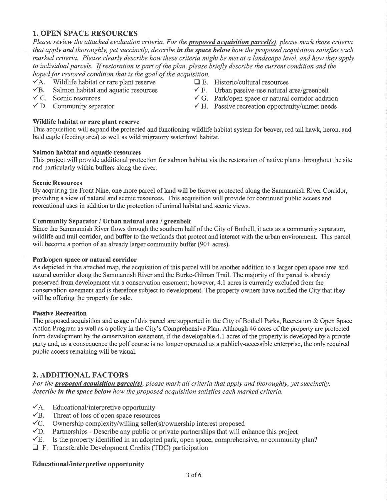## 1. OPEN SPACE RESOURCES

Please review the attached evaluation criteria. For the **proposed acquisition parcel(s)**, please mark those criteria that apply and thoroughly, yet succinctly, describe in the space below how the proposed acquisition satisfies each marked criteria. Please clearly describe how these criteria might be met at a landscape level, and how they apply to individual parcels. If restoration is part of the plan, please briefly describe the current condition and the hoped for restored condition that is the goal of the acquisition.<br>  $\blacktriangleright$  A. Wildlife habitat or rare plant reserve  $\Box$  E. Historic/cultural resources

 $\overrightarrow{A}$ . Wildlife habitat or rare plant reserve  $\overrightarrow{A}$ . Historic/cultural resources  $\overrightarrow{B}$ . Salmon habitat and aquatic resources  $\overrightarrow{F}$ . Urban passive-use natural area/greenbelt

- $\overline{v}$ B. Salmon habitat and aquatic resources  $\overline{v}$  C. Scenic resources
- 
- 

# \ilildlife habitat or rare plant reserve

 $\checkmark$  C. Scenic resources  $\checkmark$  G. Park/open space or natural corridor addition  $\checkmark$  D. Community separator  $\checkmark$  H. Passive recreation opportunity/unmet needs  $\checkmark$  H. Passive recreation opportunity/unmet needs

This acquisition will expand the protected and functioning wildlife habitat system for beaver, red tail hawk, heron, and bald eagle (feeding area) as well as wild migratory waterfowl habitat.

#### Salmon habitat and aquatic resources

This project will provide additional protection for salmon habitat via the restoration of native plants throughout the site and particularly within buffers along the river.

#### Scenic Resources

By acquiring the Front Nine, one more parcel of land will be forever protected along the Sammamish River Corridor, providing a view of natural and scenic resources. This acquisition will provide for continued public access and recreational uses in addition to the protection of animal habitat and scenic views.

#### Community Separator / Urban natural area / greenbelt

Since the Sammamish River flows through the southern half of the City of Bothell, it acts as a community separator, wildlife and trail corridor, and buffer to the wetlands that protect and interact with the urban environment. This parcel will become a portion of an already larger community buffer (90+ acres).

#### Park/open space or natural corridor

As depicted in the attached map, the acquisition of this parcel will be another addition to a larger open space area and natural corridor along the Sammamish River and the Burke-Gilman Trail. The majority of the parcel is already preserved from development via a conservation easement; however, 4. 1 acres is currently excluded from the conservation easement and is therefore subject to development. The property owners have notified the City that they will be offering the property for sale.

#### Passive Recreation

The proposed acquisition and usage of this parcel are supported in the City of Bothell Parks, Recreation & Open Space Action Program as well as a policy in the City's Comprehensive Plan. Although 46 acres of the property are protected from development by the conservation easement, if the developable 4.1acres of the property is developed by a private party and, as a consequence the golf course is no longer operated as a publicly-accessible enterprise, the only required public access remaining will be visual.

## 2. ADDITIONAL FACTORS

For the **proposed acquisition parcel(s)**, please mark all criteria that apply and thoroughly, yet succinctly, describe in the space below how the proposed acquisition satisfies each marked criteria.

- $\sqrt{A}$ . Educational/interpretive opportunity
- $\sqrt{B}$ . Threat of loss of open space resources
- $\sqrt{C}$ . Ownership complexity/willing seller(s)/ownership interest proposed
- $\nabla$ D. Partnerships - Describe any public or private partnerships that will enhance this project
- $\times$  E. Is the property identified in an adopted park, open space, comprehensive, or community plan?
- $\Box$  F. Transferable Development Credits (TDC) participation

#### EducationaVinterpretive opportunity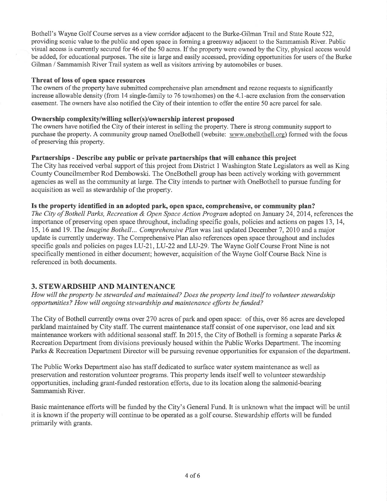Bothell's Wayne Golf Course serves as a view corridor adjacent to the Burke-Gilman Trail and State Route 522, providing scenic value to the public and open space in forming a greenway adjacent to the Sammamish River. Public visual access is currently secured for 46 of the 50 acres. If the property were owned by the City, physical access would be added, for educational purposes. The site is large and easily accessed, providing opportunities for users ofthe Burke Gilman / Sammamish River Trail system as well as visitors arriving by automobiles or buses.

#### Threat of loss of open space resources

The owners of the property have submitted comprehensive plan amendment and rezone requests to significantly increase allowable density (from 14 single-family to 76 townhomes) on the 4.1-acre exclusion from the conservation easement. The owners have also notified the City of their intention to offer the entire 50 acre parcel for sale.

#### Ownership complexity/willing seller(s)/ownership interest proposed

The owners have notified the City of their interest in selling the property. There is strong community support to purchase the property. A community group named OneBothell (website: www.onebothell.org) formed with the focus of preserving this property.

#### Partnerships - Describe any public or private partnerships that will enhance this project

The City has received verbal support of this project from District 1 Washington State Legislators as well as King County Councilmember Rod Dembowski. The OneBothell group has been actively workng with government agencies as well as the community at large. The City intends to partner with OneBothell to pursue funding for acquisition as well as stewardship of the property.

#### Is the property identified in an adopted park, open space, comprehensive, or community plan?

The City of Bothell Parks, Recreation & Open Space Action Program adopted on January 24, 2014, references the importance of preserving open space throughout, including specific goals, policies and actions on pages 13,14, 15, 16 and 19. The Imagine Bothell... Comprehensive Plan was last updated December 7,2010 and a major update is currently underway. The Comprehensive Plan also references open space throughout and includes specific goals and policies on pages LU-21, LU-22 and LU-29. The Wayne Golf Course Front Nine is not specifically mentioned in either document; however, acquisition of the Wayne Golf Course Back Nine is referenced in both documents.

## 3. STEWARDSHIP AND MAINTENANCE

How will the property be stewarded and maintained? Does the property lend itself to volunteer stewardship opportunities? How will ongoing stewardship and maintenance efforts be funded?

The City of Bothell currently owns over 270 acres of park and open space: of this, over 86 acres are developed parkland maintained by City staff. The current maintenance staff consist of one supervisor, one lead and six maintenance workers with additional seasonal staff. In 2015, the City of Bothell is forming a separate Parks  $\&$ Recreation Department from divisions previously housed within the Public Works Department. The incoming Parks & Recreation Department Director will be pursuing revenue opportunities for expansion of the department.

The Public Works Department also has staff dedicated to surface water system maintenance as well as preservation and restoration volunteer programs. This property lends itself well to volunteer stewardship opportunities, including grant-funded restoration efforts, due to its location along the salmonid-bearing Sammamish River.

Basic maintenance efforts will be funded by the City's General Fund. It is unknown what the impact will be until it is known if the property will continue to be operated as a golf course. Stewardship efforts will be funded primarily with grants.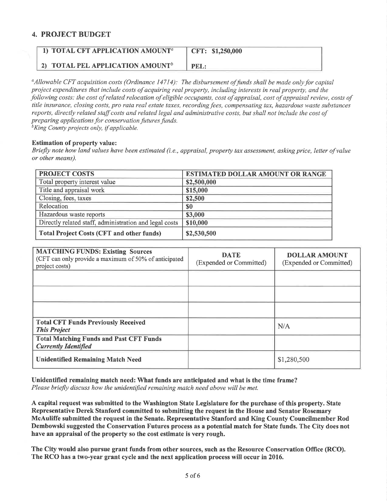## 4. PROJECT BUDGET

| 1) TOTAL CFT APPLICATION AMOUNT <sup>a</sup>        | CFT: \$1,250,000 |
|-----------------------------------------------------|------------------|
| <b>2) TOTAL PEL APPLICATION AMOUNT</b> <sup>b</sup> | PEL:             |

 $\alpha_A$ llowable CFT acquisition costs (Ordinance 14714): The disbursement of funds shall be made only for capital project expenditures that include costs of acquiring real property, including interests in real property, and the following costs: the cost of related relocation of eligible occupants, cost of appraisal, cost of appraisal review, costs of title insurance, closing costs, pro rata real estate taxes, recording fees, compensating tax, hazardous waste substances reports, directly related staff costs and related legal and administrative costs, but shall not include the cost of preparing applications for conservation futures funds.<br> ${}^{b}$ King County projects only, if applicable.

#### Estimation of property value:

Briefly note how land values have been estimated (i.e., appraisal, property tax assessment, asking price, letter ofvalue or other means).

| <b>PROJECT COSTS</b>                                   | <b>ESTIMATED DOLLAR AMOUNT OR RANGE</b> |
|--------------------------------------------------------|-----------------------------------------|
| Total property interest value                          | \$2,500,000                             |
| Title and appraisal work                               | \$15,000                                |
| Closing, fees, taxes                                   | \$2,500                                 |
| Relocation                                             | \$0                                     |
| Hazardous waste reports                                | \$3,000                                 |
| Directly related staff, administration and legal costs | \$10,000                                |
| <b>Total Project Costs (CFT and other funds)</b>       | \$2,530,500                             |

| <b>MATCHING FUNDS: Existing Sources</b><br>(CFT can only provide a maximum of 50% of anticipated<br>project costs) | <b>DATE</b><br>(Expended or Committed) | <b>DOLLAR AMOUNT</b><br>(Expended or Committed) |
|--------------------------------------------------------------------------------------------------------------------|----------------------------------------|-------------------------------------------------|
|                                                                                                                    |                                        |                                                 |
|                                                                                                                    |                                        |                                                 |
|                                                                                                                    |                                        |                                                 |
| <b>Total CFT Funds Previously Received</b><br><b>This Project</b>                                                  |                                        | N/A                                             |
| <b>Total Matching Funds and Past CFT Funds</b><br><b>Currently Identified</b>                                      |                                        |                                                 |
| <b>Unidentified Remaining Match Need</b>                                                                           |                                        | \$1,280,500                                     |

Unidentified remaining match need: What funds are anticipated and what is the time frame? Please briefly discuss how the unidentified remaining match need above will be met.

A capital request was submitted to the Washington State Legislature for the purchase of this property. State Representative Derek Stanford committed to submitting the request in the House and Senator Rosemary McAuliffe submitted the request in the Senate. Representative Stanford and King County Councilmember Rod Dembowski suggested the Conservation Futures process as a potential match for State funds. The City does not have an appraisal of the property so the cost estimate is very rough.

The City would also pursue grant funds from other sources, such as the Resource Conservation Office (RCO). The RCO has a two-year grant cycle and the next application process will occur in 2016.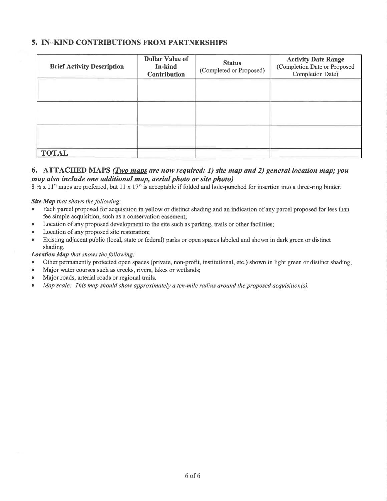## 5. IN\_KIND CONTRIBUTIONS FROM PARTNERSHIPS

| <b>Brief Activity Description</b> | <b>Dollar Value of</b><br>In-kind<br><b>Contribution</b> | <b>Status</b><br>(Completed or Proposed) | <b>Activity Date Range</b><br>(Completion Date or Proposed<br>Completion Date) |
|-----------------------------------|----------------------------------------------------------|------------------------------------------|--------------------------------------------------------------------------------|
|                                   |                                                          |                                          |                                                                                |
|                                   |                                                          |                                          |                                                                                |
|                                   |                                                          |                                          |                                                                                |
| <b>TOTAL</b>                      |                                                          |                                          |                                                                                |

## 6. ATTACHED MAPS (*Two maps are now required: 1*) site map and 2) general location map; you may also include one additional map, aerial photo or site photo)

 $8\frac{1}{2}$  x 11" maps are preferred, but 11 x 17" is acceptable if folded and hole-punched for insertion into a three-ring binder.

#### Site Map that shows the following:

- Each parcel proposed for acquisition in yellow or distinct shading and an indication of any parcel proposed for less than fee simple acquisition, such as a conservation easement;
- o Location of any proposed development to the site such as parking, trails or other facilities;
- Location of any proposed site restoration;
- o Existing adjacent public (local, state or federal) parks or open spaces labeled and shown in dark green or distinct shading.

#### Location Map that shows the following:

- Other permanently protected open spaces (private, non-profit, institutional, etc.) shown in light green or distinct shading;
- Major water courses such as creeks, rivers, lakes or wetlands;
- Major roads, arterial roads or regional trails.
- Map scale: This map should show approximately a ten-mile radius around the proposed acquisition(s).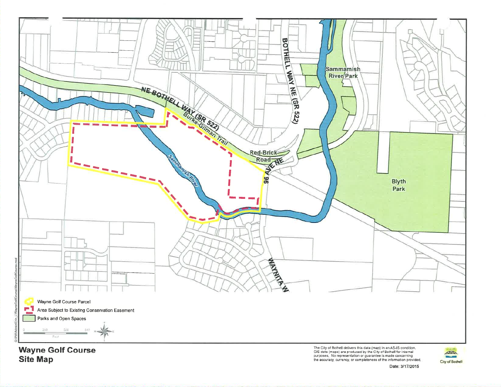

**Site Map** 

Fig. 3.1 Contract contract the contract in the contract of the City of Bothell for internal<br>purposes. No representation or guarantee is made concerning<br>the accuracy, currency, or completeness of the information provided.

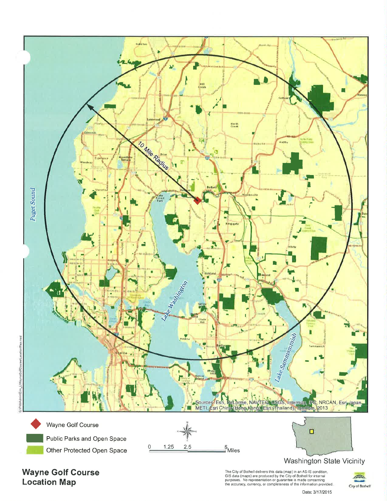

**Wayne Golf Course Location Map** 

The City of Bothell delivers this data (map) in an AS-IS condition.<br>GIS data (maps) are produced by the City of Bothell for internal<br>purposes. No representation or guarantee is made concerning<br>the accuracy, currency, or co

AM City of Bothell

Date: 3/17/2015